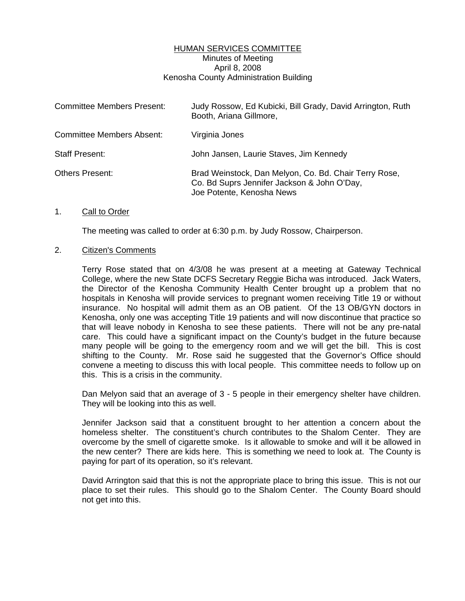## HUMAN SERVICES COMMITTEE Minutes of Meeting April 8, 2008 Kenosha County Administration Building

| <b>Committee Members Present:</b> | Judy Rossow, Ed Kubicki, Bill Grady, David Arrington, Ruth<br>Booth, Ariana Gillmore,                                             |
|-----------------------------------|-----------------------------------------------------------------------------------------------------------------------------------|
| <b>Committee Members Absent:</b>  | Virginia Jones                                                                                                                    |
| <b>Staff Present:</b>             | John Jansen, Laurie Staves, Jim Kennedy                                                                                           |
| Others Present:                   | Brad Weinstock, Dan Melyon, Co. Bd. Chair Terry Rose,<br>Co. Bd Suprs Jennifer Jackson & John O'Day,<br>Joe Potente, Kenosha News |

#### 1. Call to Order

The meeting was called to order at 6:30 p.m. by Judy Rossow, Chairperson.

#### 2. Citizen's Comments

 Terry Rose stated that on 4/3/08 he was present at a meeting at Gateway Technical College, where the new State DCFS Secretary Reggie Bicha was introduced. Jack Waters, the Director of the Kenosha Community Health Center brought up a problem that no hospitals in Kenosha will provide services to pregnant women receiving Title 19 or without insurance. No hospital will admit them as an OB patient. Of the 13 OB/GYN doctors in Kenosha, only one was accepting Title 19 patients and will now discontinue that practice so that will leave nobody in Kenosha to see these patients. There will not be any pre-natal care. This could have a significant impact on the County's budget in the future because many people will be going to the emergency room and we will get the bill. This is cost shifting to the County. Mr. Rose said he suggested that the Governor's Office should convene a meeting to discuss this with local people. This committee needs to follow up on this. This is a crisis in the community.

 Dan Melyon said that an average of 3 - 5 people in their emergency shelter have children. They will be looking into this as well.

 Jennifer Jackson said that a constituent brought to her attention a concern about the homeless shelter. The constituent's church contributes to the Shalom Center. They are overcome by the smell of cigarette smoke. Is it allowable to smoke and will it be allowed in the new center? There are kids here. This is something we need to look at. The County is paying for part of its operation, so it's relevant.

 David Arrington said that this is not the appropriate place to bring this issue. This is not our place to set their rules. This should go to the Shalom Center. The County Board should not get into this.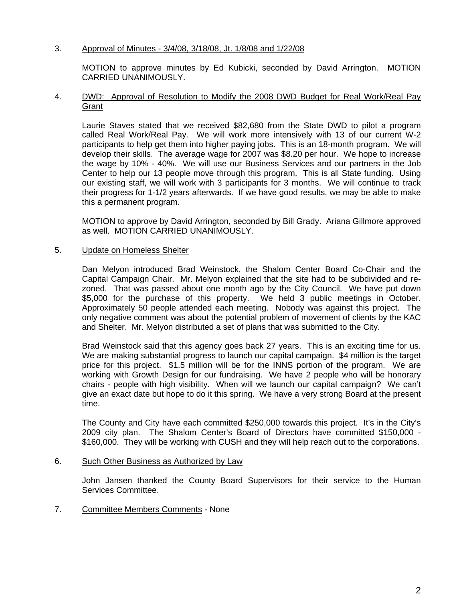# 3. Approval of Minutes - 3/4/08, 3/18/08, Jt. 1/8/08 and 1/22/08

 MOTION to approve minutes by Ed Kubicki, seconded by David Arrington. MOTION CARRIED UNANIMOUSLY.

## 4. DWD: Approval of Resolution to Modify the 2008 DWD Budget for Real Work/Real Pay **Grant**

 Laurie Staves stated that we received \$82,680 from the State DWD to pilot a program called Real Work/Real Pay. We will work more intensively with 13 of our current W-2 participants to help get them into higher paying jobs. This is an 18-month program. We will develop their skills. The average wage for 2007 was \$8.20 per hour. We hope to increase the wage by 10% - 40%. We will use our Business Services and our partners in the Job Center to help our 13 people move through this program. This is all State funding. Using our existing staff, we will work with 3 participants for 3 months. We will continue to track their progress for 1-1/2 years afterwards. If we have good results, we may be able to make this a permanent program.

MOTION to approve by David Arrington, seconded by Bill Grady. Ariana Gillmore approved as well. MOTION CARRIED UNANIMOUSLY.

## 5. Update on Homeless Shelter

 Dan Melyon introduced Brad Weinstock, the Shalom Center Board Co-Chair and the Capital Campaign Chair. Mr. Melyon explained that the site had to be subdivided and rezoned. That was passed about one month ago by the City Council. We have put down \$5,000 for the purchase of this property. We held 3 public meetings in October. Approximately 50 people attended each meeting. Nobody was against this project. The only negative comment was about the potential problem of movement of clients by the KAC and Shelter. Mr. Melyon distributed a set of plans that was submitted to the City.

 Brad Weinstock said that this agency goes back 27 years. This is an exciting time for us. We are making substantial progress to launch our capital campaign. \$4 million is the target price for this project. \$1.5 million will be for the INNS portion of the program. We are working with Growth Design for our fundraising. We have 2 people who will be honorary chairs - people with high visibility. When will we launch our capital campaign? We can't give an exact date but hope to do it this spring. We have a very strong Board at the present time.

 The County and City have each committed \$250,000 towards this project. It's in the City's 2009 city plan. The Shalom Center's Board of Directors have committed \$150,000 - \$160,000. They will be working with CUSH and they will help reach out to the corporations.

#### 6. Such Other Business as Authorized by Law

 John Jansen thanked the County Board Supervisors for their service to the Human Services Committee.

# 7. Committee Members Comments - None